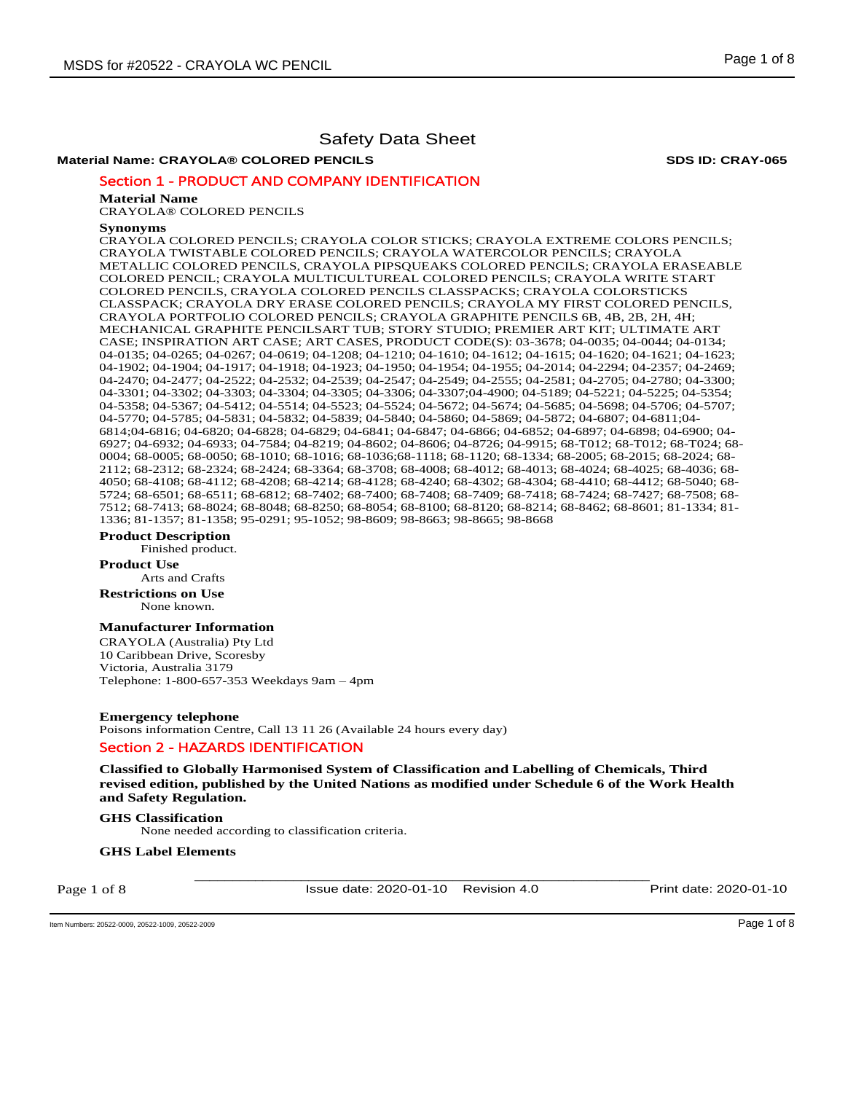## **Material Name: CRAYOLA® COLORED PENCILS SDS ID: CRAY-065**

Section 1 - PRODUCT AND COMPANY IDENTIFICATION

#### **Material Name**

CRAYOLA® COLORED PENCILS

#### **Synonyms**

CRAYOLA COLORED PENCILS; CRAYOLA COLOR STICKS; CRAYOLA EXTREME COLORS PENCILS; CRAYOLA TWISTABLE COLORED PENCILS; CRAYOLA WATERCOLOR PENCILS; CRAYOLA METALLIC COLORED PENCILS, CRAYOLA PIPSQUEAKS COLORED PENCILS; CRAYOLA ERASEABLE COLORED PENCIL; CRAYOLA MULTICULTUREAL COLORED PENCILS; CRAYOLA WRITE START COLORED PENCILS, CRAYOLA COLORED PENCILS CLASSPACKS; CRAYOLA COLORSTICKS CLASSPACK; CRAYOLA DRY ERASE COLORED PENCILS; CRAYOLA MY FIRST COLORED PENCILS, CRAYOLA PORTFOLIO COLORED PENCILS; CRAYOLA GRAPHITE PENCILS 6B, 4B, 2B, 2H, 4H; MECHANICAL GRAPHITE PENCILSART TUB; STORY STUDIO; PREMIER ART KIT; ULTIMATE ART CASE; INSPIRATION ART CASE; ART CASES, PRODUCT CODE(S): 03-3678; 04-0035; 04-0044; 04-0134; 04-0135; 04-0265; 04-0267; 04-0619; 04-1208; 04-1210; 04-1610; 04-1612; 04-1615; 04-1620; 04-1621; 04-1623; 04-1902; 04-1904; 04-1917; 04-1918; 04-1923; 04-1950; 04-1954; 04-1955; 04-2014; 04-2294; 04-2357; 04-2469; 04-2470; 04-2477; 04-2522; 04-2532; 04-2539; 04-2547; 04-2549; 04-2555; 04-2581; 04-2705; 04-2780; 04-3300; 04-3301; 04-3302; 04-3303; 04-3304; 04-3305; 04-3306; 04-3307;04-4900; 04-5189; 04-5221; 04-5225; 04-5354; 04-5358; 04-5367; 04-5412; 04-5514; 04-5523; 04-5524; 04-5672; 04-5674; 04-5685; 04-5698; 04-5706; 04-5707; 04-5770; 04-5785; 04-5831; 04-5832; 04-5839; 04-5840; 04-5860; 04-5869; 04-5872; 04-6807; 04-6811;04- 6814;04-6816; 04-6820; 04-6828; 04-6829; 04-6841; 04-6847; 04-6866; 04-6852; 04-6897; 04-6898; 04-6900; 04- 6927; 04-6932; 04-6933; 04-7584; 04-8219; 04-8602; 04-8606; 04-8726; 04-9915; 68-T012; 68-T012; 68-T024; 68- 0004; 68-0005; 68-0050; 68-1010; 68-1016; 68-1036;68-1118; 68-1120; 68-1334; 68-2005; 68-2015; 68-2024; 68- 2112; 68-2312; 68-2324; 68-2424; 68-3364; 68-3708; 68-4008; 68-4012; 68-4013; 68-4024; 68-4025; 68-4036; 68- 4050; 68-4108; 68-4112; 68-4208; 68-4214; 68-4128; 68-4240; 68-4302; 68-4304; 68-4410; 68-4412; 68-5040; 68- 5724; 68-6501; 68-6511; 68-6812; 68-7402; 68-7400; 68-7408; 68-7409; 68-7418; 68-7424; 68-7427; 68-7508; 68- 7512; 68-7413; 68-8024; 68-8048; 68-8250; 68-8054; 68-8100; 68-8120; 68-8214; 68-8462; 68-8601; 81-1334; 81- 1336; 81-1357; 81-1358; 95-0291; 95-1052; 98-8609; 98-8663; 98-8665; 98-8668

## **Product Description**

Finished product.

#### **Product Use**

Arts and Crafts

**Restrictions on Use** None known.

#### **Manufacturer Information**

CRAYOLA (Australia) Pty Ltd 10 Caribbean Drive, Scoresby Victoria, Australia 3179 Telephone: 1-800-657-353 Weekdays 9am – 4pm

**Emergency telephone**  Poisons information Centre, Call 13 11 26 (Available 24 hours every day) Section 2 - HAZARDS IDENTIFICATION

**Classified to Globally Harmonised System of Classification and Labelling of Chemicals, Third revised edition, published by the United Nations as modified under Schedule 6 of the Work Health and Safety Regulation.** 

## **GHS Classification**

None needed according to classification criteria.

#### **GHS Label Elements**

Page 1 of 8

Issue date: 2020-01-10 Revision 4.0 Print date: 2020-01-10

\_\_\_\_\_\_\_\_\_\_\_\_\_\_\_\_\_\_\_\_\_\_\_\_\_\_\_\_\_\_\_\_\_\_\_\_\_\_\_\_\_\_\_\_\_\_\_\_\_\_\_\_\_\_\_\_\_\_\_\_

Item Numbers: 20522-0009, 20522-1009, 20522-2009 Page 1 of 8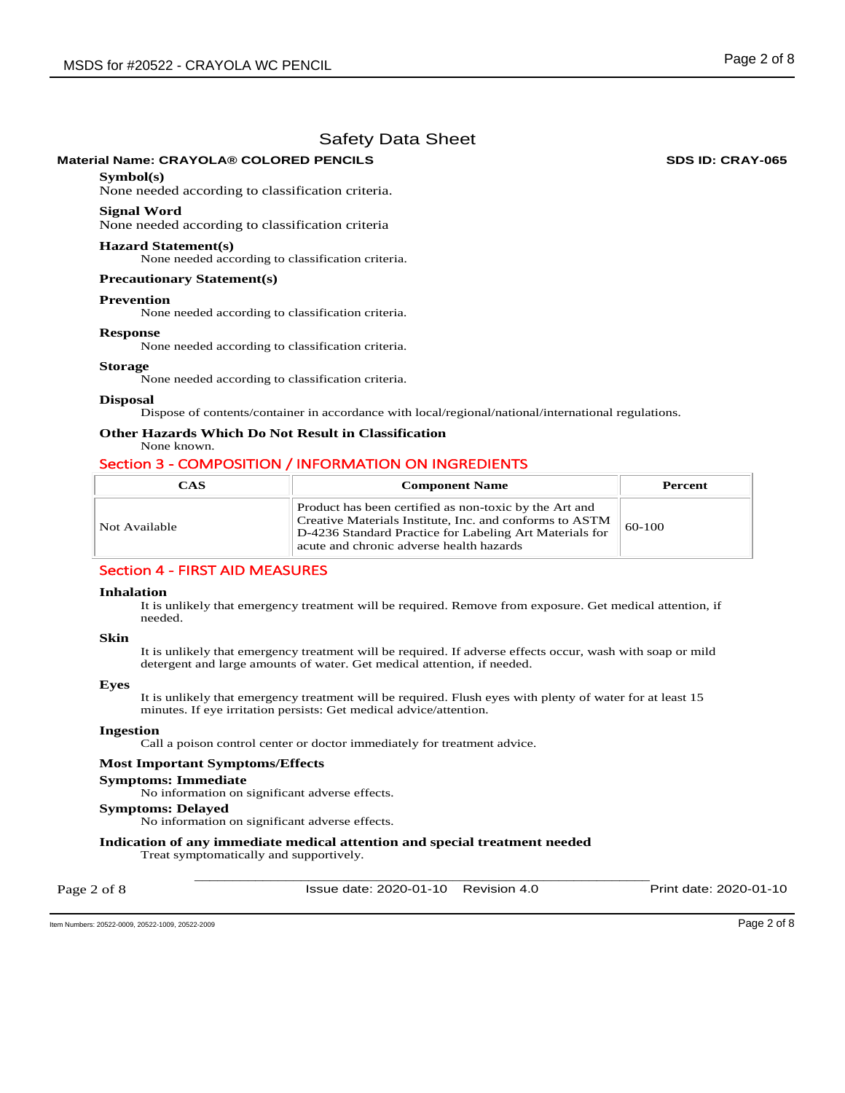## **Material Name: CRAYOLA® COLORED PENCILS SDS ID: CRAY-065**

## **Symbol(s)**

None needed according to classification criteria.

#### **Signal Word**

None needed according to classification criteria

#### **Hazard Statement(s)**

None needed according to classification criteria.

#### **Precautionary Statement(s)**

#### **Prevention**

None needed according to classification criteria.

#### **Response**

None needed according to classification criteria.

#### **Storage**

None needed according to classification criteria.

#### **Disposal**

Dispose of contents/container in accordance with local/regional/national/international regulations.

## **Other Hazards Which Do Not Result in Classification**

None known.

## Section 3 - COMPOSITION / INFORMATION ON INGREDIENTS

| CAS           | <b>Component Name</b>                                                                                                                                                                                                    | Percent  |
|---------------|--------------------------------------------------------------------------------------------------------------------------------------------------------------------------------------------------------------------------|----------|
| Not Available | Product has been certified as non-toxic by the Art and<br>Creative Materials Institute, Inc. and conforms to ASTM<br>D-4236 Standard Practice for Labeling Art Materials for<br>acute and chronic adverse health hazards | $60-100$ |

## Section 4 - FIRST AID MEASURES

#### **Inhalation**

It is unlikely that emergency treatment will be required. Remove from exposure. Get medical attention, if needed.

#### **Skin**

It is unlikely that emergency treatment will be required. If adverse effects occur, wash with soap or mild detergent and large amounts of water. Get medical attention, if needed.

#### **Eyes**

It is unlikely that emergency treatment will be required. Flush eyes with plenty of water for at least 15 minutes. If eye irritation persists: Get medical advice/attention.

#### **Ingestion**

Call a poison control center or doctor immediately for treatment advice.

#### **Most Important Symptoms/Effects**

#### **Symptoms: Immediate**

No information on significant adverse effects.

#### **Symptoms: Delayed**

No information on significant adverse effects.

## **Indication of any immediate medical attention and special treatment needed**

Treat symptomatically and supportively.

Page 2 of 8

\_\_\_\_\_\_\_\_\_\_\_\_\_\_\_\_\_\_\_\_\_\_\_\_\_\_\_\_\_\_\_\_\_\_\_\_\_\_\_\_\_\_\_\_\_\_\_\_\_\_\_\_\_\_\_\_\_\_\_\_ Issue date: 2020-01-10 Revision 4.0 Print date: 2020-01-10

Item Numbers: 20522-0009, 20522-1009, 20522-2009 Page 2 of 8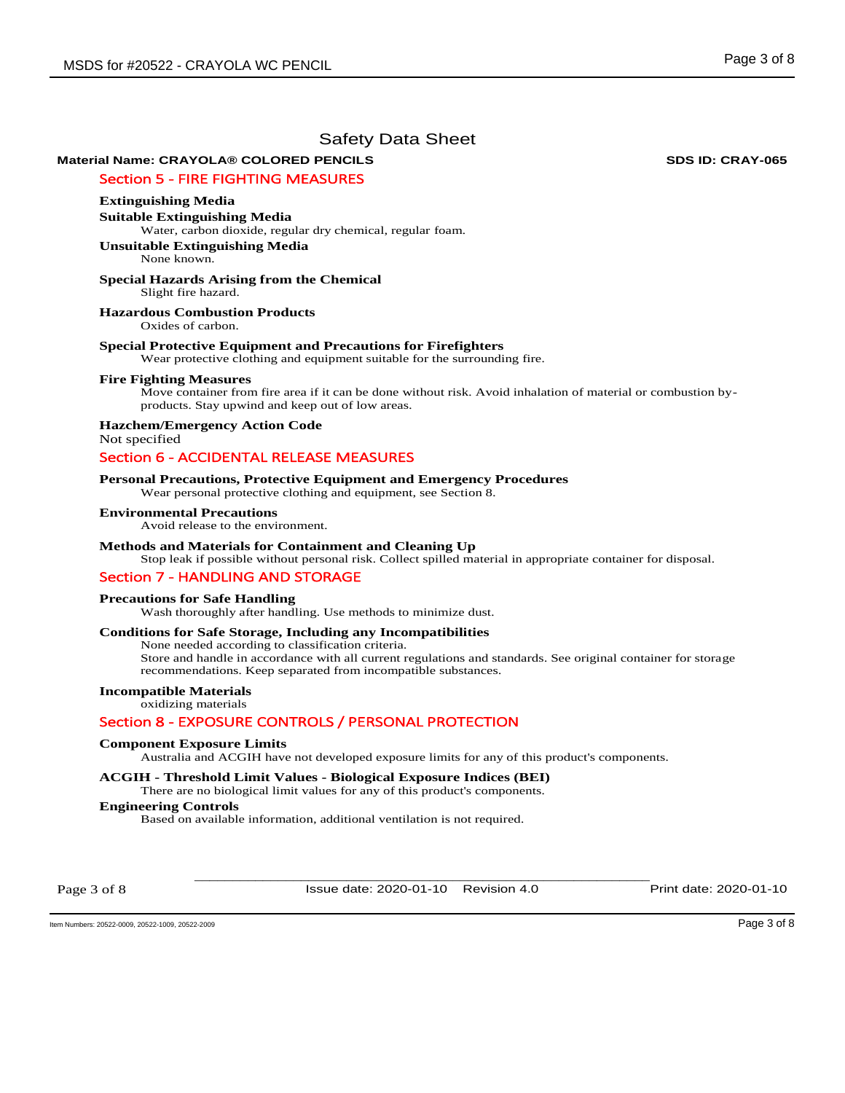# **Material Name: CRAYOLA® COLORED PENCILS SDS ID: CRAY-065**

# Section 5 - FIRE FIGHTING MEASURES

## **Extinguishing Media**

**Suitable Extinguishing Media**  Water, carbon dioxide, regular dry chemical, regular foam.

**Unsuitable Extinguishing Media** None known.

#### **Special Hazards Arising from the Chemical**  Slight fire hazard.

**Hazardous Combustion Products** 

Oxides of carbon.

#### **Special Protective Equipment and Precautions for Firefighters**

Wear protective clothing and equipment suitable for the surrounding fire.

#### **Fire Fighting Measures**

Move container from fire area if it can be done without risk. Avoid inhalation of material or combustion byproducts. Stay upwind and keep out of low areas.

**Hazchem/Emergency Action Code**  Not specified

# Section 6 - ACCIDENTAL RELEASE MEASURES

#### **Personal Precautions, Protective Equipment and Emergency Procedures**

Wear personal protective clothing and equipment, see Section 8.

#### **Environmental Precautions**

Avoid release to the environment.

## **Methods and Materials for Containment and Cleaning Up**

Stop leak if possible without personal risk. Collect spilled material in appropriate container for disposal.

## Section 7 - HANDLING AND STORAGE

#### **Precautions for Safe Handling**

Wash thoroughly after handling. Use methods to minimize dust.

## **Conditions for Safe Storage, Including any Incompatibilities**

None needed according to classification criteria. Store and handle in accordance with all current regulations and standards. See original container for storage recommendations. Keep separated from incompatible substances.

## **Incompatible Materials**

oxidizing materials

## Section 8 - EXPOSURE CONTROLS / PERSONAL PROTECTION

#### **Component Exposure Limits**

Australia and ACGIH have not developed exposure limits for any of this product's components.

## **ACGIH - Threshold Limit Values - Biological Exposure Indices (BEI)**

There are no biological limit values for any of this product's components.

## **Engineering Controls**

Based on available information, additional ventilation is not required.

Page 3 of 8

\_\_\_\_\_\_\_\_\_\_\_\_\_\_\_\_\_\_\_\_\_\_\_\_\_\_\_\_\_\_\_\_\_\_\_\_\_\_\_\_\_\_\_\_\_\_\_\_\_\_\_\_\_\_\_\_\_\_\_\_ Issue date: 2020-01-10 Revision 4.0 Print date: 2020-01-10

Item Numbers: 20522-0009, 20522-1009, 20522-2009 Page 3 of 8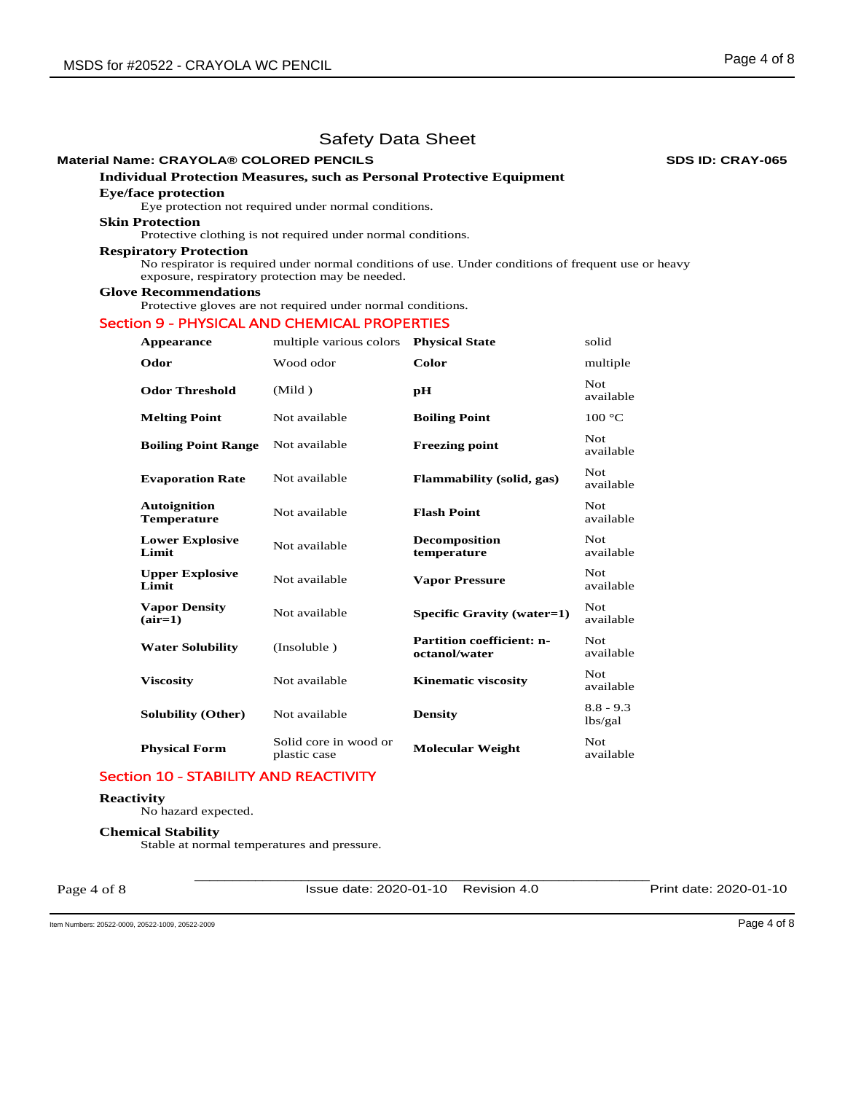## **Material Name: CRAYOLA® COLORED PENCILS SDS ID: CRAY-065**

# **Individual Protection Measures, such as Personal Protective Equipment**

## **Eye/face protection**

Eye protection not required under normal conditions.

# **Skin Protection**

Protective clothing is not required under normal conditions.

## **Respiratory Protection**

No respirator is required under normal conditions of use. Under conditions of frequent use or heavy exposure, respiratory protection may be needed.

## **Glove Recommendations**

Protective gloves are not required under normal conditions.

## Section 9 - PHYSICAL AND CHEMICAL PROPERTIES

| Appearance                                | multiple various colors               | <b>Physical State</b>                             | solid                  |
|-------------------------------------------|---------------------------------------|---------------------------------------------------|------------------------|
| Odor                                      | Wood odor                             | Color                                             | multiple               |
| <b>Odor Threshold</b>                     | (Mild)                                | рH                                                | Not.<br>available      |
| <b>Melting Point</b>                      | Not available                         | <b>Boiling Point</b>                              | 100 °C                 |
| <b>Boiling Point Range</b>                | Not available                         | <b>Freezing point</b>                             | Not.<br>available      |
| <b>Evaporation Rate</b>                   | Not available                         | Flammability (solid, gas)                         | Not.<br>available      |
| <b>Autoignition</b><br><b>Temperature</b> | Not available                         | <b>Flash Point</b>                                | Not.<br>available      |
| <b>Lower Explosive</b><br>Limit           | Not available                         | <b>Decomposition</b><br>temperature               | Not.<br>available      |
| <b>Upper Explosive</b><br>Limit           | Not available                         | <b>Vapor Pressure</b>                             | Not<br>available       |
| <b>Vapor Density</b><br>$(air=1)$         | Not available                         | Specific Gravity (water=1)                        | Not.<br>available      |
| <b>Water Solubility</b>                   | (Insoluble)                           | <b>Partition coefficient: n-</b><br>octanol/water | Not.<br>available      |
| <b>Viscosity</b>                          | Not available                         | <b>Kinematic viscosity</b>                        | Not.<br>available      |
| <b>Solubility (Other)</b>                 | Not available                         | <b>Density</b>                                    | $8.8 - 9.3$<br>lbs/gal |
| <b>Physical Form</b>                      | Solid core in wood or<br>plastic case | <b>Molecular Weight</b>                           | Not.<br>available      |

# Section 10 - STABILITY AND REACTIVITY

## **Reactivity**

No hazard expected.

#### **Chemical Stability**

Stable at normal temperatures and pressure.

Page 4 of 8

\_\_\_\_\_\_\_\_\_\_\_\_\_\_\_\_\_\_\_\_\_\_\_\_\_\_\_\_\_\_\_\_\_\_\_\_\_\_\_\_\_\_\_\_\_\_\_\_\_\_\_\_\_\_\_\_\_\_\_\_ Issue date: 2020-01-10 Revision 4.0 Print date: 2020-01-10

Item Numbers: 20522-0009, 20522-1009, 20522-2009 Page 4 of 8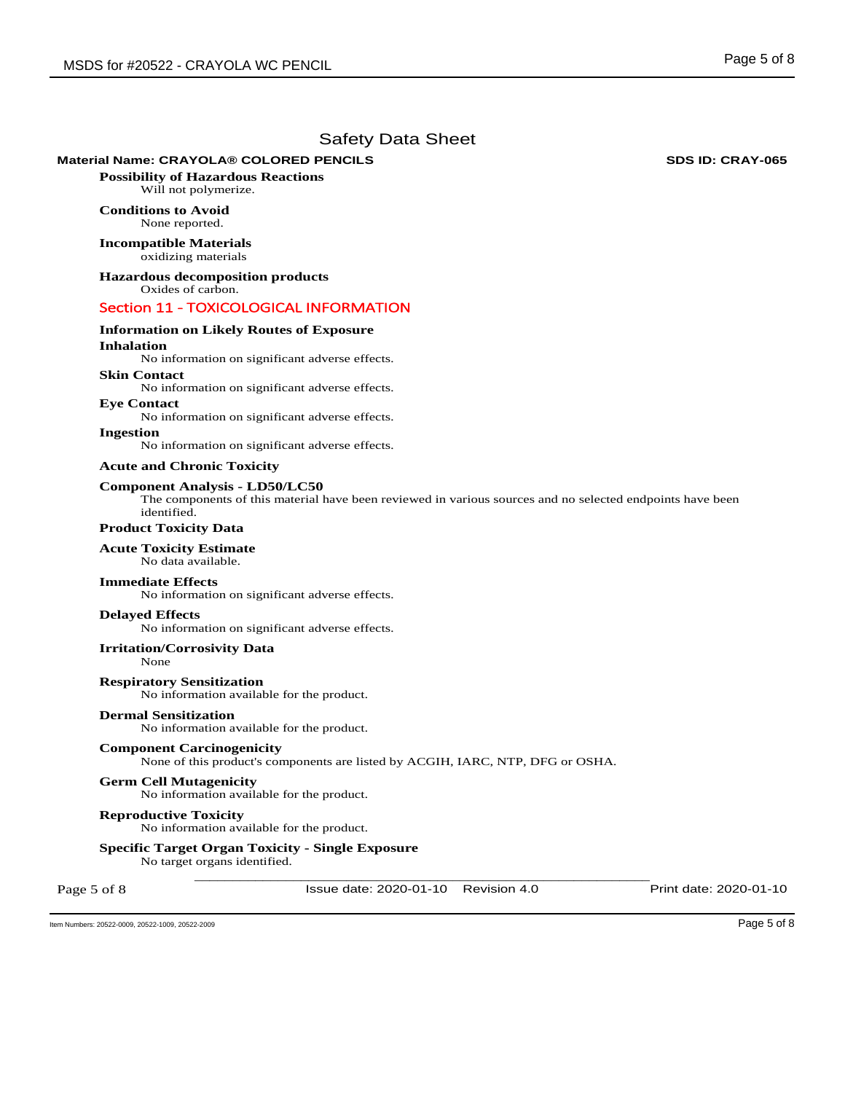## **Material Name: CRAYOLA® COLORED PENCILS SDS ID: CRAY-065**

**Possibility of Hazardous Reactions** Will not polymerize.

## **Conditions to Avoid** None reported.

**Incompatible Materials** oxidizing materials

**Hazardous decomposition products**  Oxides of carbon.

## Section 11 - TOXICOLOGICAL INFORMATION

# **Information on Likely Routes of Exposure**

# **Inhalation**

No information on significant adverse effects.

## **Skin Contact**

No information on significant adverse effects.

**Eye Contact**  No information on significant adverse effects.

# **Ingestion**

No information on significant adverse effects.

#### **Acute and Chronic Toxicity**

#### **Component Analysis - LD50/LC50**

The components of this material have been reviewed in various sources and no selected endpoints have been identified.

## **Product Toxicity Data**

## **Acute Toxicity Estimate**

No data available.

## **Immediate Effects**

No information on significant adverse effects.

#### **Delayed Effects**

No information on significant adverse effects.

## **Irritation/Corrosivity Data**

None

**Respiratory Sensitization**  No information available for the product.

## **Dermal Sensitization**

No information available for the product.

## **Component Carcinogenicity**

None of this product's components are listed by ACGIH, IARC, NTP, DFG or OSHA.

#### **Germ Cell Mutagenicity**

No information available for the product.

#### **Reproductive Toxicity**

No information available for the product.

## **Specific Target Organ Toxicity - Single Exposure**

\_\_\_\_\_\_\_\_\_\_\_\_\_\_\_\_\_\_\_\_\_\_\_\_\_\_\_\_\_\_\_\_\_\_\_\_\_\_\_\_\_\_\_\_\_\_\_\_\_\_\_\_\_\_\_\_\_\_\_\_ No target organs identified.

Page 5 of 8

Issue date: 2020-01-10 Revision 4.0 Print date: 2020-01-10

Item Numbers: 20522-0009, 20522-1009, 20522-2009 Page 5 of 8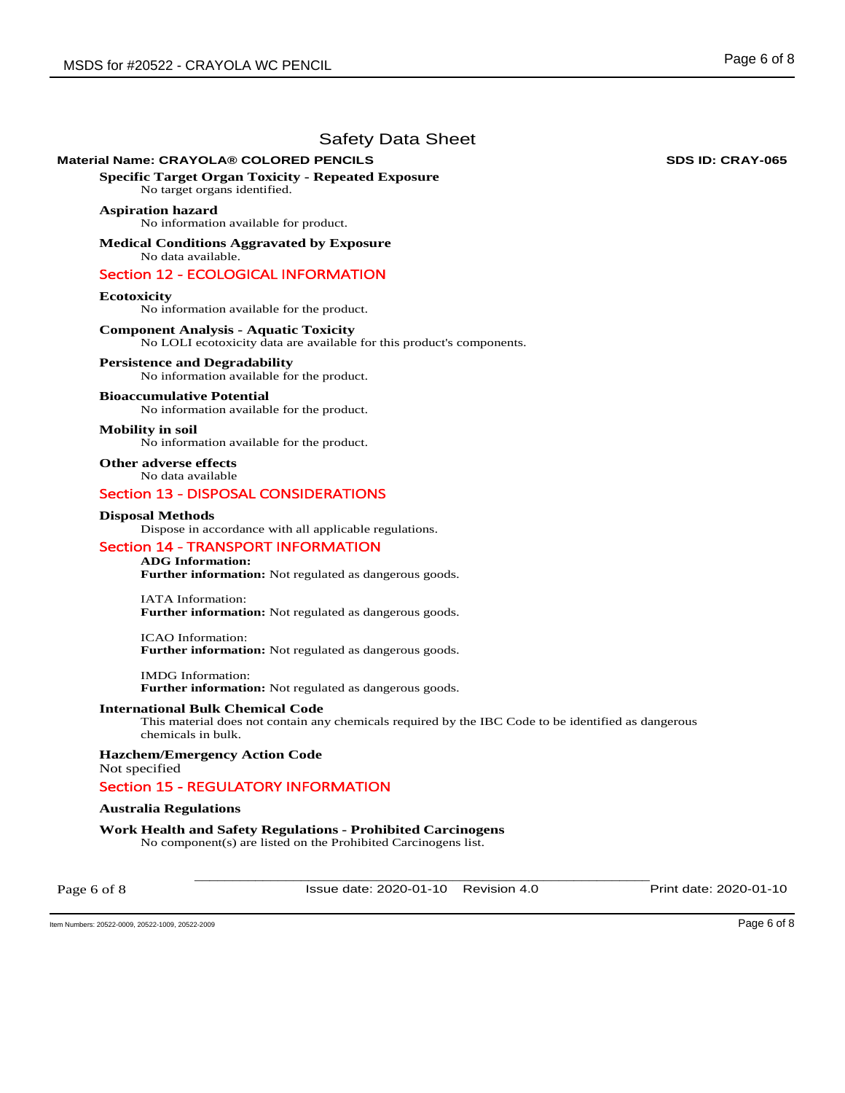## **Material Name: CRAYOLA® COLORED PENCILS SDS ID: CRAY-065**

**Specific Target Organ Toxicity - Repeated Exposure** 

No target organs identified.

## **Aspiration hazard**

No information available for product.

**Medical Conditions Aggravated by Exposure** No data available.

## Section 12 - ECOLOGICAL INFORMATION

## **Ecotoxicity**

No information available for the product.

## **Component Analysis - Aquatic Toxicity**

No LOLI ecotoxicity data are available for this product's components.

#### **Persistence and Degradability**

No information available for the product.

#### **Bioaccumulative Potential**

No information available for the product.

#### **Mobility in soil**

No information available for the product.

**Other adverse effects**  No data available

## Section 13 - DISPOSAL CONSIDERATIONS

#### **Disposal Methods**

Dispose in accordance with all applicable regulations.

## Section 14 - TRANSPORT INFORMATION

## **ADG Information:**

**Further information:** Not regulated as dangerous goods.

IATA Information: **Further information:** Not regulated as dangerous goods.

ICAO Information: **Further information:** Not regulated as dangerous goods.

IMDG Information: **Further information:** Not regulated as dangerous goods.

#### **International Bulk Chemical Code**

This material does not contain any chemicals required by the IBC Code to be identified as dangerous chemicals in bulk.

**Hazchem/Emergency Action Code**  Not specified

## Section 15 - REGULATORY INFORMATION

## **Australia Regulations**

**Work Health and Safety Regulations - Prohibited Carcinogens**  No component(s) are listed on the Prohibited Carcinogens list.

Page 6 of 8

\_\_\_\_\_\_\_\_\_\_\_\_\_\_\_\_\_\_\_\_\_\_\_\_\_\_\_\_\_\_\_\_\_\_\_\_\_\_\_\_\_\_\_\_\_\_\_\_\_\_\_\_\_\_\_\_\_\_\_\_ Issue date: 2020-01-10 Revision 4.0 Print date: 2020-01-10

Item Numbers: 20522-0009, 20522-1009, 20522-2009 Page 6 of 8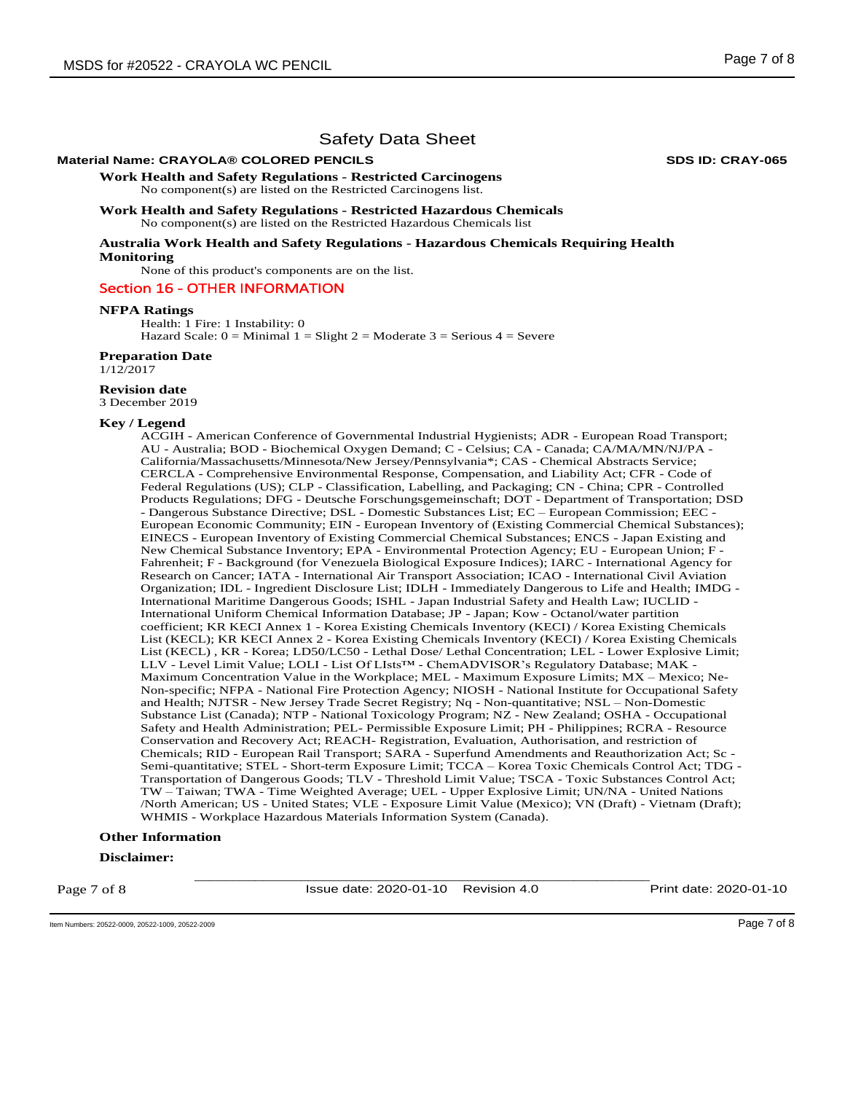## **Material Name: CRAYOLA® COLORED PENCILS SDS ID: CRAY-065**

**Work Health and Safety Regulations - Restricted Carcinogens**  No component(s) are listed on the Restricted Carcinogens list.

**Work Health and Safety Regulations - Restricted Hazardous Chemicals**  No component(s) are listed on the Restricted Hazardous Chemicals list

**Australia Work Health and Safety Regulations - Hazardous Chemicals Requiring Health Monitoring** 

None of this product's components are on the list.

## Section 16 - OTHER INFORMATION

#### **NFPA Ratings**

Health: 1 Fire: 1 Instability: 0 Hazard Scale:  $0 =$  Minimal  $1 =$  Slight  $2 =$  Moderate  $3 =$  Serious  $4 =$  Severe

#### **Preparation Date**

1/12/2017

## **Revision date**

3 December 2019

### **Key / Legend**

ACGIH - American Conference of Governmental Industrial Hygienists; ADR - European Road Transport; AU - Australia; BOD - Biochemical Oxygen Demand; C - Celsius; CA - Canada; CA/MA/MN/NJ/PA - California/Massachusetts/Minnesota/New Jersey/Pennsylvania\*; CAS - Chemical Abstracts Service; CERCLA - Comprehensive Environmental Response, Compensation, and Liability Act; CFR - Code of Federal Regulations (US); CLP - Classification, Labelling, and Packaging; CN - China; CPR - Controlled Products Regulations; DFG - Deutsche Forschungsgemeinschaft; DOT - Department of Transportation; DSD - Dangerous Substance Directive; DSL - Domestic Substances List; EC – European Commission; EEC - European Economic Community; EIN - European Inventory of (Existing Commercial Chemical Substances); EINECS - European Inventory of Existing Commercial Chemical Substances; ENCS - Japan Existing and New Chemical Substance Inventory; EPA - Environmental Protection Agency; EU - European Union; F - Fahrenheit; F - Background (for Venezuela Biological Exposure Indices); IARC - International Agency for Research on Cancer; IATA - International Air Transport Association; ICAO - International Civil Aviation Organization; IDL - Ingredient Disclosure List; IDLH - Immediately Dangerous to Life and Health; IMDG - International Maritime Dangerous Goods; ISHL - Japan Industrial Safety and Health Law; IUCLID - International Uniform Chemical Information Database; JP - Japan; Kow - Octanol/water partition coefficient; KR KECI Annex 1 - Korea Existing Chemicals Inventory (KECI) / Korea Existing Chemicals List (KECL); KR KECI Annex 2 - Korea Existing Chemicals Inventory (KECI) / Korea Existing Chemicals List (KECL) , KR - Korea; LD50/LC50 - Lethal Dose/ Lethal Concentration; LEL - Lower Explosive Limit; LLV - Level Limit Value; LOLI - List Of LIsts™ - ChemADVISOR's Regulatory Database; MAK - Maximum Concentration Value in the Workplace; MEL - Maximum Exposure Limits; MX – Mexico; Ne-Non-specific; NFPA - National Fire Protection Agency; NIOSH - National Institute for Occupational Safety and Health; NJTSR - New Jersey Trade Secret Registry; Nq - Non-quantitative; NSL – Non-Domestic Substance List (Canada); NTP - National Toxicology Program; NZ - New Zealand; OSHA - Occupational Safety and Health Administration; PEL- Permissible Exposure Limit; PH - Philippines; RCRA - Resource Conservation and Recovery Act; REACH- Registration, Evaluation, Authorisation, and restriction of Chemicals; RID - European Rail Transport; SARA - Superfund Amendments and Reauthorization Act; Sc - Semi-quantitative; STEL - Short-term Exposure Limit; TCCA – Korea Toxic Chemicals Control Act; TDG - Transportation of Dangerous Goods; TLV - Threshold Limit Value; TSCA - Toxic Substances Control Act; TW – Taiwan; TWA - Time Weighted Average; UEL - Upper Explosive Limit; UN/NA - United Nations /North American; US - United States; VLE - Exposure Limit Value (Mexico); VN (Draft) - Vietnam (Draft); WHMIS - Workplace Hazardous Materials Information System (Canada).

#### **Other Information**

#### **Disclaimer:**

Page 7 of 8

\_\_\_\_\_\_\_\_\_\_\_\_\_\_\_\_\_\_\_\_\_\_\_\_\_\_\_\_\_\_\_\_\_\_\_\_\_\_\_\_\_\_\_\_\_\_\_\_\_\_\_\_\_\_\_\_\_\_\_\_ Issue date: 2020-01-10 Revision 4.0 Print date: 2020-01-10

Item Numbers: 20522-0009, 20522-1009, 20522-2009 Page 7 of 8